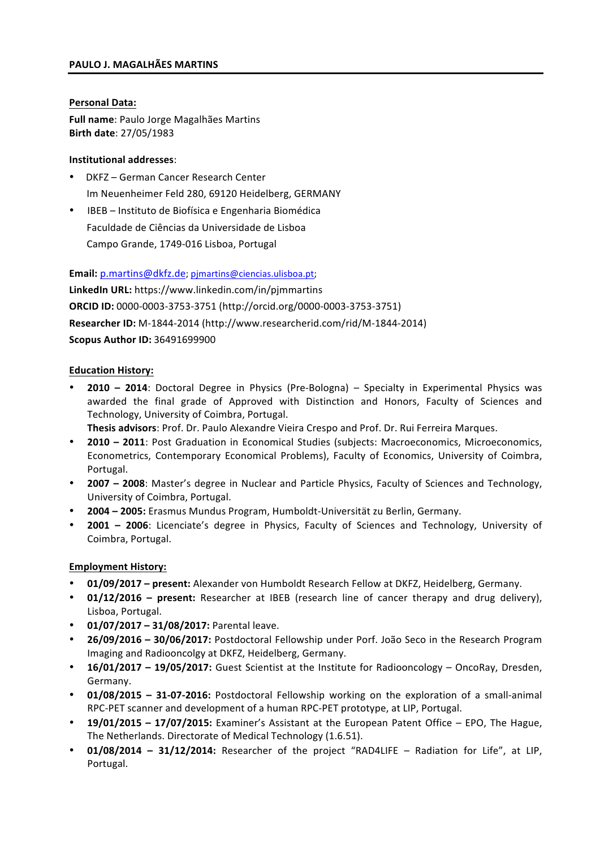### **PAULO J. MAGALHÃES MARTINS**

### **Personal Data:**

**Full name:** Paulo Jorge Magalhães Martins **Birth date**: 27/05/1983

### **Institutional addresses**:

- DKFZ German Cancer Research Center Im Neuenheimer Feld 280, 69120 Heidelberg, GERMANY
- IBEB Instituto de Biofísica e Engenharia Biomédica Faculdade de Ciências da Universidade de Lisboa Campo Grande, 1749-016 Lisboa, Portugal

**Email:** p.martins@dkfz.de; pjmartins@ciencias.ulisboa.pt;

LinkedIn URL: https://www.linkedin.com/in/pjmmartins **ORCID ID:** 0000-0003-3753-3751 (http://orcid.org/0000-0003-3753-3751) **Researcher ID:** M-1844-2014 (http://www.researcherid.com/rid/M-1844-2014) **Scopus Author ID:** 36491699900

### **Education History:**

**2010** - 2014: Doctoral Degree in Physics (Pre-Bologna) - Specialty in Experimental Physics was awarded the final grade of Approved with Distinction and Honors, Faculty of Sciences and Technology, University of Coimbra, Portugal.

**Thesis advisors**: Prof. Dr. Paulo Alexandre Vieira Crespo and Prof. Dr. Rui Ferreira Marques.

- **2010** 2011: Post Graduation in Economical Studies (subjects: Macroeconomics, Microeconomics, Econometrics, Contemporary Economical Problems), Faculty of Economics, University of Coimbra, Portugal.
- **2007** 2008: Master's degree in Nuclear and Particle Physics, Faculty of Sciences and Technology, University of Coimbra, Portugal.
- **2004 – 2005:** Erasmus Mundus Program, Humboldt-Universität zu Berlin, Germany.
- **2001** 2006: Licenciate's degree in Physics, Faculty of Sciences and Technology, University of Coimbra, Portugal.

# **Employment History:**

- 01/09/2017 present: Alexander von Humboldt Research Fellow at DKFZ, Heidelberg, Germany.
- **01/12/2016** present: Researcher at IBEB (research line of cancer therapy and drug delivery), Lisboa, Portugal.
- **01/07/2017 – 31/08/2017:** Parental leave.
- **26/09/2016 – 30/06/2017:** Postdoctoral Fellowship under Porf. João Seco in the Research Program Imaging and Radiooncolgy at DKFZ, Heidelberg, Germany.
- **16/01/2017 19/05/2017:** Guest Scientist at the Institute for Radiooncology OncoRay, Dresden, Germany.
- **01/08/2015** 31-07-2016: Postdoctoral Fellowship working on the exploration of a small-animal RPC-PET scanner and development of a human RPC-PET prototype, at LIP, Portugal.
- **19/01/2015 17/07/2015:** Examiner's Assistant at the European Patent Office EPO, The Hague, The Netherlands. Directorate of Medical Technology (1.6.51).
- **01/08/2014** 31/12/2014: Researcher of the project "RAD4LIFE Radiation for Life", at LIP, Portugal.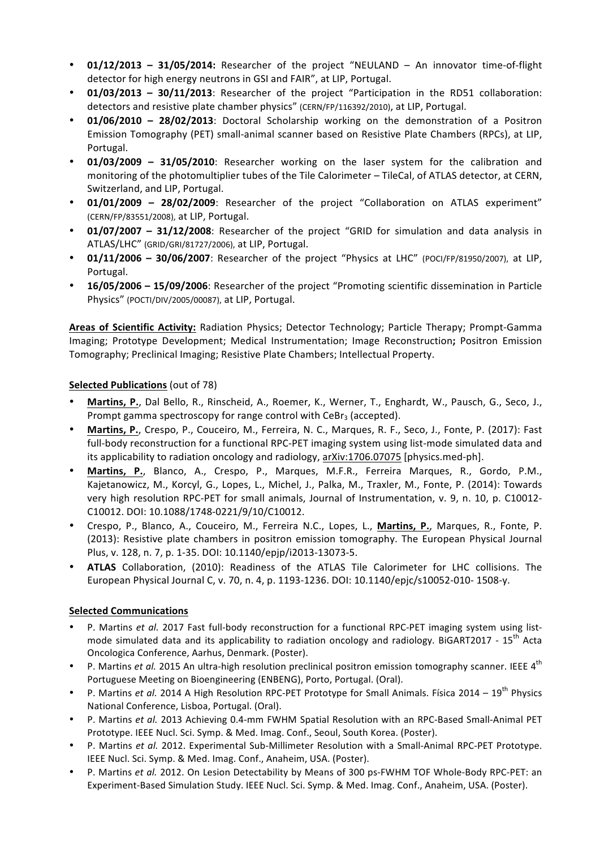- **01/12/2013 31/05/2014:** Researcher of the project "NEULAND An innovator time-of-flight detector for high energy neutrons in GSI and FAIR", at LIP, Portugal.
- **01/03/2013** 30/11/2013: Researcher of the project "Participation in the RD51 collaboration: detectors and resistive plate chamber physics" (CERN/FP/116392/2010), at LIP, Portugal.
- **01/06/2010 – 28/02/2013**: Doctoral Scholarship working on the demonstration of a Positron Emission Tomography (PET) small-animal scanner based on Resistive Plate Chambers (RPCs), at LIP, Portugal.
- **01/03/2009 – 31/05/2010**: Researcher working on the laser system for the calibration and monitoring of the photomultiplier tubes of the Tile Calorimeter – TileCal, of ATLAS detector, at CERN, Switzerland, and LIP, Portugal.
- 01/01/2009 28/02/2009: Researcher of the project "Collaboration on ATLAS experiment" (CERN/FP/83551/2008), at LIP, Portugal.
- **01/07/2007** 31/12/2008: Researcher of the project "GRID for simulation and data analysis in ATLAS/LHC" (GRID/GRI/81727/2006), at LIP, Portugal.
- **01/11/2006 – 30/06/2007**: Researcher of the project "Physics at LHC" (POCI/FP/81950/2007), at LIP, Portugal.
- **16/05/2006 15/09/2006**: Researcher of the project "Promoting scientific dissemination in Particle Physics" (POCTI/DIV/2005/00087), at LIP, Portugal.

Areas of Scientific Activity: Radiation Physics; Detector Technology; Particle Therapy; Prompt-Gamma Imaging; Prototype Development; Medical Instrumentation; Image Reconstruction; Positron Emission Tomography; Preclinical Imaging; Resistive Plate Chambers; Intellectual Property.

# **Selected Publications** (out of 78)

- Martins, P., Dal Bello, R., Rinscheid, A., Roemer, K., Werner, T., Enghardt, W., Pausch, G., Seco, J., Prompt gamma spectroscopy for range control with  $CeBr<sub>3</sub>$  (accepted).
- Martins, P., Crespo, P., Couceiro, M., Ferreira, N. C., Marques, R. F., Seco, J., Fonte, P. (2017): Fast full-body reconstruction for a functional RPC-PET imaging system using list-mode simulated data and its applicability to radiation oncology and radiology, arXiv:1706.07075 [physics.med-ph].
- Martins, P., Blanco, A., Crespo, P., Marques, M.F.R., Ferreira Marques, R., Gordo, P.M., Kajetanowicz, M., Korcyl, G., Lopes, L., Michel, J., Palka, M., Traxler, M., Fonte, P. (2014): Towards very high resolution RPC-PET for small animals, Journal of Instrumentation, v. 9, n. 10, p. C10012-C10012. DOI: 10.1088/1748-0221/9/10/C10012.
- Crespo, P., Blanco, A., Couceiro, M., Ferreira N.C., Lopes, L., **Martins, P.**, Marques, R., Fonte, P. (2013): Resistive plate chambers in positron emission tomography. The European Physical Journal Plus, v. 128, n. 7, p. 1-35. DOI: 10.1140/epjp/i2013-13073-5.
- ATLAS Collaboration, (2010): Readiness of the ATLAS Tile Calorimeter for LHC collisions. The European Physical Journal C, v. 70, n. 4, p. 1193-1236. DOI: 10.1140/epjc/s10052-010- 1508-y.

#### **Selected Communications**

- P. Martins *et al.* 2017 Fast full-body reconstruction for a functional RPC-PET imaging system using listmode simulated data and its applicability to radiation oncology and radiology. BiGART2017 - 15<sup>th</sup> Acta Oncologica Conference, Aarhus, Denmark. (Poster).
- P. Martins *et al.* 2015 An ultra-high resolution preclinical positron emission tomography scanner. IEEE 4<sup>th</sup> Portuguese Meeting on Bioengineering (ENBENG), Porto, Portugal. (Oral).
- P. Martins *et al.* 2014 A High Resolution RPC-PET Prototype for Small Animals. Física 2014 19<sup>th</sup> Physics National Conference, Lisboa, Portugal. (Oral).
- P. Martins et al. 2013 Achieving 0.4-mm FWHM Spatial Resolution with an RPC-Based Small-Animal PET Prototype. IEEE Nucl. Sci. Symp. & Med. Imag. Conf., Seoul, South Korea. (Poster).
- P. Martins et al. 2012. Experimental Sub-Millimeter Resolution with a Small-Animal RPC-PET Prototype. IEEE Nucl. Sci. Symp. & Med. Imag. Conf., Anaheim, USA. (Poster).
- P. Martins *et al.* 2012. On Lesion Detectability by Means of 300 ps-FWHM TOF Whole-Body RPC-PET: an Experiment-Based Simulation Study. IEEE Nucl. Sci. Symp. & Med. Imag. Conf., Anaheim, USA. (Poster).